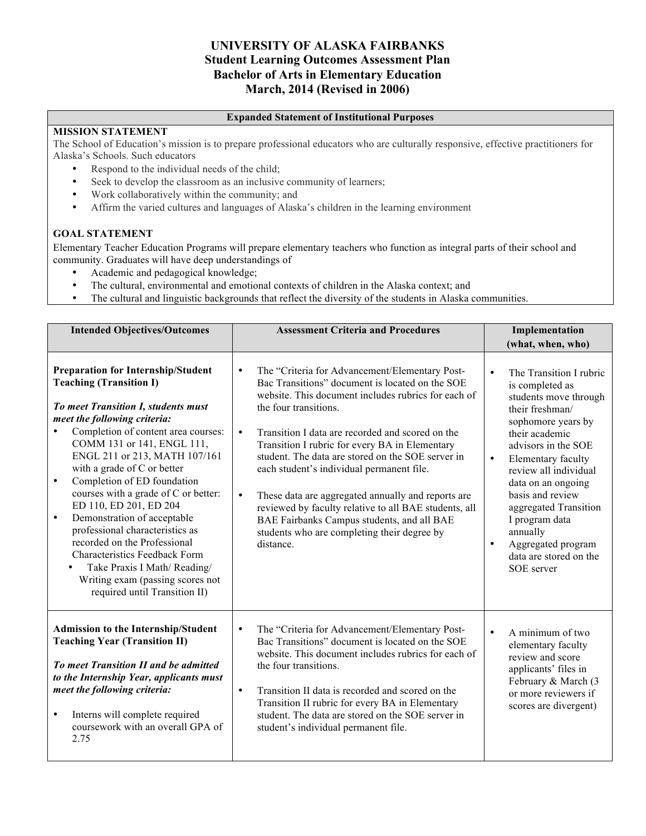# **UNIVERSITY OF ALASKA FAIRBANKS Student Learning Outcomes Assessment Plan Bachelor of Arts in Elementary Education March, 2014 (Revised in 2006)**

#### **Expanded Statement of Institutional Purposes**

#### **MISSION STATEMENT**

The School of Education's mission is to prepare professional educators who are culturally responsive, effective practitioners for Alaska's Schools. Such educators

- Respond to the individual needs of the child;
- Seek to develop the classroom as an inclusive community of learners;
- Work collaboratively within the community; and
- Affirm the varied cultures and languages of Alaska's children in the learning environment

#### **GOAL STATEMENT**

Elementary Teacher Education Programs will prepare elementary teachers who function as integral parts of their school and community. Graduates will have deep understandings of

- Academic and pedagogical knowledge;
- The cultural, environmental and emotional contexts of children in the Alaska context; and
- The cultural and linguistic backgrounds that reflect the diversity of the students in Alaska communities.

| <b>Intended Objectives/Outcomes</b>                                                                                                                                                                                                                                                                                                                                                                                                                                                                                                                                                                                                                       | <b>Assessment Criteria and Procedures</b>                                                                                                                                                                                                                                                                                                                                                                                                                                                                                                                                                                                                                 | Implementation                                                                                                                                                                                                                                                                                                                                                                                             |  |
|-----------------------------------------------------------------------------------------------------------------------------------------------------------------------------------------------------------------------------------------------------------------------------------------------------------------------------------------------------------------------------------------------------------------------------------------------------------------------------------------------------------------------------------------------------------------------------------------------------------------------------------------------------------|-----------------------------------------------------------------------------------------------------------------------------------------------------------------------------------------------------------------------------------------------------------------------------------------------------------------------------------------------------------------------------------------------------------------------------------------------------------------------------------------------------------------------------------------------------------------------------------------------------------------------------------------------------------|------------------------------------------------------------------------------------------------------------------------------------------------------------------------------------------------------------------------------------------------------------------------------------------------------------------------------------------------------------------------------------------------------------|--|
|                                                                                                                                                                                                                                                                                                                                                                                                                                                                                                                                                                                                                                                           |                                                                                                                                                                                                                                                                                                                                                                                                                                                                                                                                                                                                                                                           | (what, when, who)                                                                                                                                                                                                                                                                                                                                                                                          |  |
| <b>Preparation for Internship/Student</b><br><b>Teaching (Transition I)</b><br>To meet Transition I, students must<br>meet the following criteria:<br>Completion of content area courses:<br>COMM 131 or 141, ENGL 111,<br>ENGL 211 or 213, MATH 107/161<br>with a grade of C or better<br>Completion of ED foundation<br>$\bullet$<br>courses with a grade of C or better:<br>ED 110, ED 201, ED 204<br>Demonstration of acceptable<br>$\bullet$<br>professional characteristics as<br>recorded on the Professional<br>Characteristics Feedback Form<br>Take Praxis I Math/Reading/<br>Writing exam (passing scores not<br>required until Transition II) | The "Criteria for Advancement/Elementary Post-<br>$\bullet$<br>Bac Transitions" document is located on the SOE<br>website. This document includes rubrics for each of<br>the four transitions.<br>$\bullet$<br>Transition I data are recorded and scored on the<br>Transition I rubric for every BA in Elementary<br>student. The data are stored on the SOE server in<br>each student's individual permanent file.<br>$\bullet$<br>These data are aggregated annually and reports are<br>reviewed by faculty relative to all BAE students, all<br>BAE Fairbanks Campus students, and all BAE<br>students who are completing their degree by<br>distance. | $\bullet$<br>The Transition I rubric<br>is completed as<br>students move through<br>their freshman/<br>sophomore years by<br>their academic<br>advisors in the SOE<br>Elementary faculty<br>$\bullet$<br>review all individual<br>data on an ongoing<br>basis and review<br>aggregated Transition<br>I program data<br>annually<br>Aggregated program<br>$\bullet$<br>data are stored on the<br>SOE server |  |
| <b>Admission to the Internship/Student</b><br><b>Teaching Year (Transition II)</b><br>To meet Transition II and be admitted<br>to the Internship Year, applicants must<br>meet the following criteria:<br>Interns will complete required<br>$\bullet$<br>coursework with an overall GPA of<br>2.75                                                                                                                                                                                                                                                                                                                                                        | $\bullet$<br>The "Criteria for Advancement/Elementary Post-<br>Bac Transitions" document is located on the SOE<br>website. This document includes rubrics for each of<br>the four transitions.<br>Transition II data is recorded and scored on the<br>$\bullet$<br>Transition II rubric for every BA in Elementary<br>student. The data are stored on the SOE server in<br>student's individual permanent file.                                                                                                                                                                                                                                           | $\bullet$<br>A minimum of two<br>elementary faculty<br>review and score<br>applicants' files in<br>February & March (3<br>or more reviewers if<br>scores are divergent)                                                                                                                                                                                                                                    |  |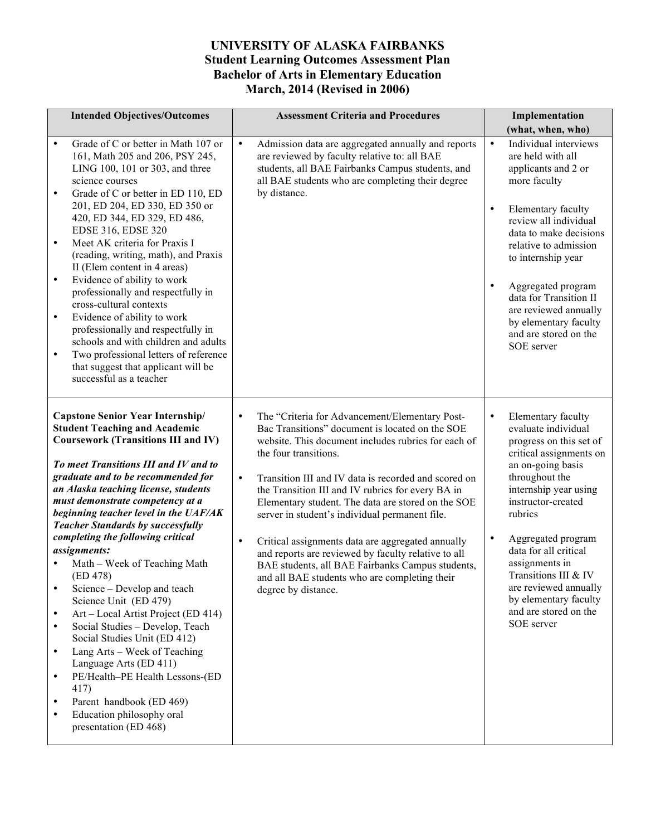# **UNIVERSITY OF ALASKA FAIRBANKS Student Learning Outcomes Assessment Plan Bachelor of Arts in Elementary Education March, 2014 (Revised in 2006)**

| <b>Intended Objectives/Outcomes</b>                                                                                                                                                                                                                                                                                                                                                                                                                                                                                                                                                                                                                                                                                                                                                                                                                                                                                   | <b>Assessment Criteria and Procedures</b>                                                                                                                                                                                                                                                                                                                                                                                                                                                                                                                                                                                                                                             | Implementation                                                                                                                                                                                                                                                                                                                                                                                  |  |
|-----------------------------------------------------------------------------------------------------------------------------------------------------------------------------------------------------------------------------------------------------------------------------------------------------------------------------------------------------------------------------------------------------------------------------------------------------------------------------------------------------------------------------------------------------------------------------------------------------------------------------------------------------------------------------------------------------------------------------------------------------------------------------------------------------------------------------------------------------------------------------------------------------------------------|---------------------------------------------------------------------------------------------------------------------------------------------------------------------------------------------------------------------------------------------------------------------------------------------------------------------------------------------------------------------------------------------------------------------------------------------------------------------------------------------------------------------------------------------------------------------------------------------------------------------------------------------------------------------------------------|-------------------------------------------------------------------------------------------------------------------------------------------------------------------------------------------------------------------------------------------------------------------------------------------------------------------------------------------------------------------------------------------------|--|
|                                                                                                                                                                                                                                                                                                                                                                                                                                                                                                                                                                                                                                                                                                                                                                                                                                                                                                                       |                                                                                                                                                                                                                                                                                                                                                                                                                                                                                                                                                                                                                                                                                       | (what, when, who)                                                                                                                                                                                                                                                                                                                                                                               |  |
| Grade of C or better in Math 107 or<br>$\bullet$<br>161, Math 205 and 206, PSY 245,<br>LING 100, 101 or 303, and three<br>science courses<br>Grade of C or better in ED 110, ED<br>$\bullet$<br>201, ED 204, ED 330, ED 350 or<br>420, ED 344, ED 329, ED 486,<br>EDSE 316, EDSE 320<br>Meet AK criteria for Praxis I<br>$\bullet$<br>(reading, writing, math), and Praxis<br>II (Elem content in 4 areas)<br>Evidence of ability to work<br>$\bullet$<br>professionally and respectfully in<br>cross-cultural contexts<br>Evidence of ability to work<br>$\bullet$<br>professionally and respectfully in<br>schools and with children and adults<br>Two professional letters of reference<br>$\bullet$<br>that suggest that applicant will be<br>successful as a teacher                                                                                                                                             | $\bullet$<br>Admission data are aggregated annually and reports<br>are reviewed by faculty relative to: all BAE<br>students, all BAE Fairbanks Campus students, and<br>all BAE students who are completing their degree<br>by distance.                                                                                                                                                                                                                                                                                                                                                                                                                                               | $\bullet$<br>Individual interviews<br>are held with all<br>applicants and 2 or<br>more faculty<br>Elementary faculty<br>$\bullet$<br>review all individual<br>data to make decisions<br>relative to admission<br>to internship year<br>Aggregated program<br>data for Transition II<br>are reviewed annually<br>by elementary faculty<br>and are stored on the<br>SOE server                    |  |
| <b>Capstone Senior Year Internship/</b><br><b>Student Teaching and Academic</b><br><b>Coursework (Transitions III and IV)</b><br>To meet Transitions III and IV and to<br>graduate and to be recommended for<br>an Alaska teaching license, students<br>must demonstrate competency at a<br>beginning teacher level in the UAF/AK<br><b>Teacher Standards by successfully</b><br>completing the following critical<br>assignments:<br>Math – Week of Teaching Math<br>(ED 478)<br>Science - Develop and teach<br>Science Unit (ED 479)<br>Art – Local Artist Project (ED 414)<br>$\bullet$<br>Social Studies - Develop, Teach<br>$\bullet$<br>Social Studies Unit (ED 412)<br>Lang Arts - Week of Teaching<br>$\bullet$<br>Language Arts (ED 411)<br>PE/Health-PE Health Lessons-(ED<br>$\bullet$<br>417)<br>Parent handbook (ED 469)<br>$\bullet$<br>Education philosophy oral<br>$\bullet$<br>presentation (ED 468) | $\bullet$<br>The "Criteria for Advancement/Elementary Post-<br>Bac Transitions" document is located on the SOE<br>website. This document includes rubrics for each of<br>the four transitions.<br>$\bullet$<br>Transition III and IV data is recorded and scored on<br>the Transition III and IV rubrics for every BA in<br>Elementary student. The data are stored on the SOE<br>server in student's individual permanent file.<br>$\bullet$<br>Critical assignments data are aggregated annually<br>and reports are reviewed by faculty relative to all<br>BAE students, all BAE Fairbanks Campus students,<br>and all BAE students who are completing their<br>degree by distance. | Elementary faculty<br>$\bullet$<br>evaluate individual<br>progress on this set of<br>critical assignments on<br>an on-going basis<br>throughout the<br>internship year using<br>instructor-created<br>rubrics<br>Aggregated program<br>data for all critical<br>assignments in<br>Transitions III & IV<br>are reviewed annually<br>by elementary faculty<br>and are stored on the<br>SOE server |  |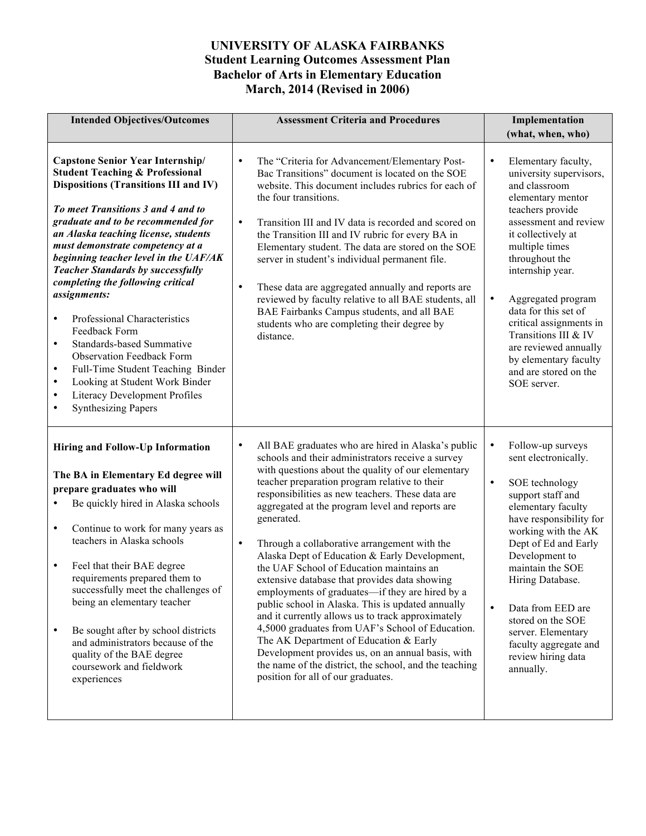# **UNIVERSITY OF ALASKA FAIRBANKS Student Learning Outcomes Assessment Plan Bachelor of Arts in Elementary Education March, 2014 (Revised in 2006)**

| <b>Intended Objectives/Outcomes</b>                                                                                                                                                                                                                                                                                                                                                                                                                                                                                                                                                                                                                                                                                                                                  | <b>Assessment Criteria and Procedures</b><br>Implementation                                                                                                                                                                                                                                                                                                                                                                                                                                                                                                                                                                                                                                                                                                                                                                                                                                                                                                                 |                                                                                                                                                                                                                                                                                                                                                                                                                                      |
|----------------------------------------------------------------------------------------------------------------------------------------------------------------------------------------------------------------------------------------------------------------------------------------------------------------------------------------------------------------------------------------------------------------------------------------------------------------------------------------------------------------------------------------------------------------------------------------------------------------------------------------------------------------------------------------------------------------------------------------------------------------------|-----------------------------------------------------------------------------------------------------------------------------------------------------------------------------------------------------------------------------------------------------------------------------------------------------------------------------------------------------------------------------------------------------------------------------------------------------------------------------------------------------------------------------------------------------------------------------------------------------------------------------------------------------------------------------------------------------------------------------------------------------------------------------------------------------------------------------------------------------------------------------------------------------------------------------------------------------------------------------|--------------------------------------------------------------------------------------------------------------------------------------------------------------------------------------------------------------------------------------------------------------------------------------------------------------------------------------------------------------------------------------------------------------------------------------|
|                                                                                                                                                                                                                                                                                                                                                                                                                                                                                                                                                                                                                                                                                                                                                                      |                                                                                                                                                                                                                                                                                                                                                                                                                                                                                                                                                                                                                                                                                                                                                                                                                                                                                                                                                                             | (what, when, who)                                                                                                                                                                                                                                                                                                                                                                                                                    |
| <b>Capstone Senior Year Internship/</b><br><b>Student Teaching &amp; Professional</b><br><b>Dispositions (Transitions III and IV)</b><br>To meet Transitions 3 and 4 and to<br>graduate and to be recommended for<br>an Alaska teaching license, students<br>must demonstrate competency at a<br>beginning teacher level in the UAF/AK<br><b>Teacher Standards by successfully</b><br>completing the following critical<br>assignments:<br>Professional Characteristics<br>$\bullet$<br>Feedback Form<br><b>Standards-based Summative</b><br>٠<br><b>Observation Feedback Form</b><br>Full-Time Student Teaching Binder<br>٠<br>Looking at Student Work Binder<br>$\bullet$<br>Literacy Development Profiles<br>$\bullet$<br><b>Synthesizing Papers</b><br>$\bullet$ | $\bullet$<br>The "Criteria for Advancement/Elementary Post-<br>Bac Transitions" document is located on the SOE<br>website. This document includes rubrics for each of<br>the four transitions.<br>$\bullet$<br>Transition III and IV data is recorded and scored on<br>the Transition III and IV rubric for every BA in<br>Elementary student. The data are stored on the SOE<br>server in student's individual permanent file.<br>$\bullet$<br>These data are aggregated annually and reports are<br>reviewed by faculty relative to all BAE students, all<br>BAE Fairbanks Campus students, and all BAE<br>students who are completing their degree by<br>distance.                                                                                                                                                                                                                                                                                                       | Elementary faculty,<br>$\bullet$<br>university supervisors,<br>and classroom<br>elementary mentor<br>teachers provide<br>assessment and review<br>it collectively at<br>multiple times<br>throughout the<br>internship year.<br>$\bullet$<br>Aggregated program<br>data for this set of<br>critical assignments in<br>Transitions III & IV<br>are reviewed annually<br>by elementary faculty<br>and are stored on the<br>SOE server. |
| Hiring and Follow-Up Information<br>The BA in Elementary Ed degree will<br>prepare graduates who will<br>Be quickly hired in Alaska schools<br>Continue to work for many years as<br>٠<br>teachers in Alaska schools<br>Feel that their BAE degree<br>٠<br>requirements prepared them to<br>successfully meet the challenges of<br>being an elementary teacher<br>Be sought after by school districts<br>and administrators because of the<br>quality of the BAE degree<br>coursework and fieldwork<br>experiences                                                                                                                                                                                                                                                   | All BAE graduates who are hired in Alaska's public<br>$\bullet$<br>schools and their administrators receive a survey<br>with questions about the quality of our elementary<br>teacher preparation program relative to their<br>responsibilities as new teachers. These data are<br>aggregated at the program level and reports are<br>generated.<br>Through a collaborative arrangement with the<br>$\bullet$<br>Alaska Dept of Education & Early Development,<br>the UAF School of Education maintains an<br>extensive database that provides data showing<br>employments of graduates—if they are hired by a<br>public school in Alaska. This is updated annually<br>and it currently allows us to track approximately<br>4,5000 graduates from UAF's School of Education.<br>The AK Department of Education & Early<br>Development provides us, on an annual basis, with<br>the name of the district, the school, and the teaching<br>position for all of our graduates. | Follow-up surveys<br>$\bullet$<br>sent electronically.<br>$\bullet$<br>SOE technology<br>support staff and<br>elementary faculty<br>have responsibility for<br>working with the AK<br>Dept of Ed and Early<br>Development to<br>maintain the SOE<br>Hiring Database.<br>$\bullet$<br>Data from EED are<br>stored on the SOE<br>server. Elementary<br>faculty aggregate and<br>review hiring data<br>annually.                        |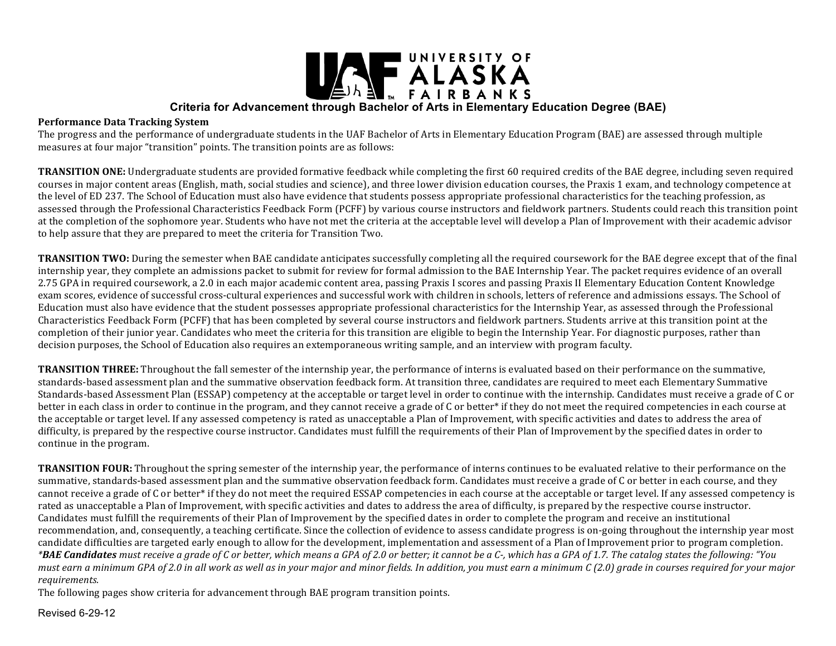

#### **Performance Data Tracking System**

The progress and the performance of undergraduate students in the UAF Bachelor of Arts in Elementary Education Program (BAE) are assessed through multiple measures at four major "transition" points. The transition points are as follows:

**TRANSITION ONE:** Undergraduate students are provided formative feedback while completing the first 60 required credits of the BAE degree, including seven required courses in major content areas (English, math, social studies and science), and three lower division education courses, the Praxis 1 exam, and technology competence at the level of ED 237. The School of Education must also have evidence that students possess appropriate professional characteristics for the teaching profession, as assessed through the Professional Characteristics Feedback Form (PCFF) by various course instructors and fieldwork partners. Students could reach this transition point at the completion of the sophomore year. Students who have not met the criteria at the acceptable level will develop a Plan of Improvement with their academic advisor to help assure that they are prepared to meet the criteria for Transition Two.

**TRANSITION TWO:** During the semester when BAE candidate anticipates successfully completing all the required coursework for the BAE degree except that of the final internship year, they complete an admissions packet to submit for review for formal admission to the BAE Internship Year. The packet requires evidence of an overall 2.75 GPA in required coursework, a 2.0 in each major academic content area, passing Praxis I scores and passing Praxis II Elementary Education Content Knowledge exam scores, evidence of successful cross-cultural experiences and successful work with children in schools, letters of reference and admissions essays. The School of Education must also have evidence that the student possesses appropriate professional characteristics for the Internship Year, as assessed through the Professional Characteristics Feedback Form (PCFF) that has been completed by several course instructors and fieldwork partners. Students arrive at this transition point at the completion of their junior year. Candidates who meet the criteria for this transition are eligible to begin the Internship Year. For diagnostic purposes, rather than decision purposes, the School of Education also requires an extemporaneous writing sample, and an interview with program faculty.

**TRANSITION THREE:** Throughout the fall semester of the internship year, the performance of interns is evaluated based on their performance on the summative, standards-based assessment plan and the summative observation feedback form. At transition three, candidates are required to meet each Elementary Summative Standards-based Assessment Plan (ESSAP) competency at the acceptable or target level in order to continue with the internship. Candidates must receive a grade of C or better in each class in order to continue in the program, and they cannot receive a grade of C or better\* if they do not meet the required competencies in each course at the acceptable or target level. If any assessed competency is rated as unacceptable a Plan of Improvement, with specific activities and dates to address the area of difficulty, is prepared by the respective course instructor. Candidates must fulfill the requirements of their Plan of Improvement by the specified dates in order to continue in the program.

**TRANSITION FOUR:** Throughout the spring semester of the internship year, the performance of interns continues to be evaluated relative to their performance on the summative, standards-based assessment plan and the summative observation feedback form. Candidates must receive a grade of C or better in each course, and they cannot receive a grade of C or better\* if they do not meet the required ESSAP competencies in each course at the acceptable or target level. If any assessed competency is rated as unacceptable a Plan of Improvement, with specific activities and dates to address the area of difficulty, is prepared by the respective course instructor. Candidates must fulfill the requirements of their Plan of Improvement by the specified dates in order to complete the program and receive an institutional recommendation, and, consequently, a teaching certificate. Since the collection of evidence to assess candidate progress is on-going throughout the internship year most candidate difficulties are targeted early enough to allow for the development, implementation and assessment of a Plan of Improvement prior to program completion. *\*BAE Candidates must receive a grade of C or better, which means a GPA of 2.0 or better; it cannot be a C-, which has a GPA of 1.7. The catalog states the following: "You must earn a minimum GPA of 2.0 in all work as well as in your major and minor fields. In addition, you must earn a minimum C (2.0) grade in courses required for your major requirements.*

The following pages show criteria for advancement through BAE program transition points.

Revised 6-29-12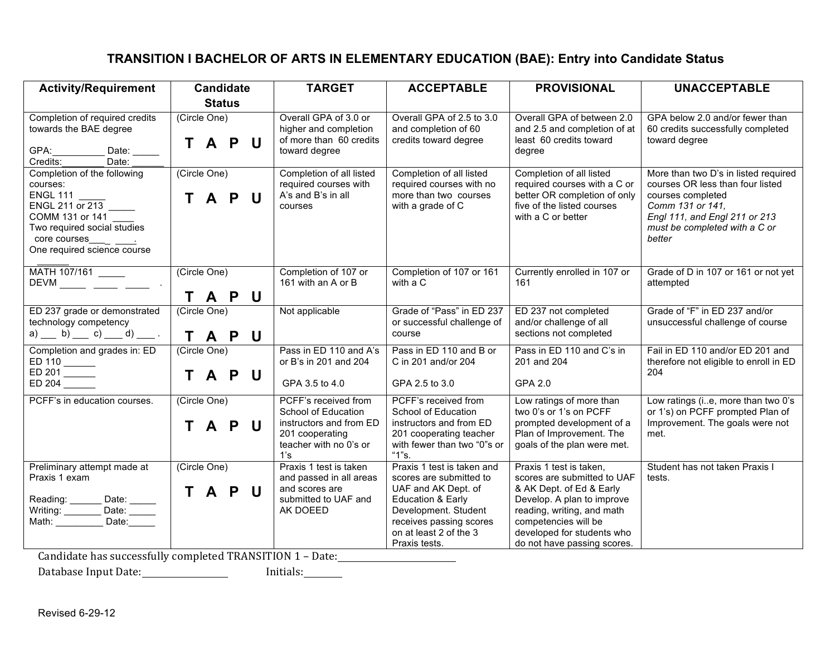# **TRANSITION I BACHELOR OF ARTS IN ELEMENTARY EDUCATION (BAE): Entry into Candidate Status**

| <b>Activity/Requirement</b>                                                                                                                                    | <b>Candidate</b>                                    | <b>TARGET</b>                                                                                                              | <b>ACCEPTABLE</b>                                                                                                                                                                               | <b>PROVISIONAL</b>                                                                                                                                                                                                                  | <b>UNACCEPTABLE</b>                                                                                                                                                                           |
|----------------------------------------------------------------------------------------------------------------------------------------------------------------|-----------------------------------------------------|----------------------------------------------------------------------------------------------------------------------------|-------------------------------------------------------------------------------------------------------------------------------------------------------------------------------------------------|-------------------------------------------------------------------------------------------------------------------------------------------------------------------------------------------------------------------------------------|-----------------------------------------------------------------------------------------------------------------------------------------------------------------------------------------------|
|                                                                                                                                                                | <b>Status</b>                                       |                                                                                                                            |                                                                                                                                                                                                 |                                                                                                                                                                                                                                     |                                                                                                                                                                                               |
| Completion of required credits<br>towards the BAE degree<br>GPA:<br>Date: $\_\_$<br>Credits:<br>Date:                                                          | (Circle One)<br>T A P<br>U                          | Overall GPA of 3.0 or<br>higher and completion<br>of more than 60 credits<br>toward degree                                 | Overall GPA of 2.5 to 3.0<br>and completion of 60<br>credits toward degree                                                                                                                      | Overall GPA of between 2.0<br>and 2.5 and completion of at<br>least 60 credits toward<br>degree                                                                                                                                     | GPA below 2.0 and/or fewer than<br>60 credits successfully completed<br>toward degree                                                                                                         |
| Completion of the following<br>courses:<br><b>ENGL 111</b><br>ENGL 211 or 213<br>COMM 131 or 141<br>Two required social studies<br>One required science course | (Circle One)<br>$\mathbf{T}$<br>$\mathsf{U}$<br>A P | Completion of all listed<br>required courses with<br>A's and B's in all<br>courses                                         | Completion of all listed<br>required courses with no<br>more than two courses<br>with a grade of C                                                                                              | Completion of all listed<br>required courses with a C or<br>better OR completion of only<br>five of the listed courses<br>with a C or better                                                                                        | More than two D's in listed required<br>courses OR less than four listed<br>courses completed<br>Comm 131 or 141,<br>Engl 111, and Engl 211 or 213<br>must be completed with a C or<br>better |
| MATH 107/161<br>$DEVM$ ______ ____ _____ .                                                                                                                     | (Circle One)<br>T A P<br>$\mathbf U$                | Completion of 107 or<br>161 with an A or B                                                                                 | Completion of 107 or 161<br>with a C                                                                                                                                                            | Currently enrolled in 107 or<br>161                                                                                                                                                                                                 | Grade of D in 107 or 161 or not yet<br>attempted                                                                                                                                              |
| ED 237 grade or demonstrated<br>technology competency<br>a) b) c) d) ______ c) ______ d) _______ .                                                             | (Circle One)<br>T A P U                             | Not applicable                                                                                                             | Grade of "Pass" in ED 237<br>or successful challenge of<br>course                                                                                                                               | ED 237 not completed<br>and/or challenge of all<br>sections not completed                                                                                                                                                           | Grade of "F" in ED 237 and/or<br>unsuccessful challenge of course                                                                                                                             |
| Completion and grades in: ED<br>ED 110<br>ED 204 $\overline{\phantom{1.55}}$                                                                                   | (Circle One)<br>T A P<br>$\mathsf{U}$               | Pass in ED 110 and A's<br>or B's in 201 and 204<br>GPA 3.5 to 4.0                                                          | Pass in ED 110 and B or<br>C in 201 and/or 204<br>GPA 2.5 to 3.0                                                                                                                                | Pass in ED 110 and C's in<br>201 and 204<br>GPA 2.0                                                                                                                                                                                 | Fail in ED 110 and/or ED 201 and<br>therefore not eligible to enroll in ED<br>204                                                                                                             |
| PCFF's in education courses.                                                                                                                                   | (Circle One)<br>A P U<br>T.                         | PCFF's received from<br>School of Education<br>instructors and from ED<br>201 cooperating<br>teacher with no 0's or<br>1's | PCFF's received from<br>School of Education<br>instructors and from ED<br>201 cooperating teacher<br>with fewer than two "0"s or<br>" $1"s.$                                                    | Low ratings of more than<br>two 0's or 1's on PCFF<br>prompted development of a<br>Plan of Improvement. The<br>goals of the plan were met.                                                                                          | Low ratings (ie, more than two 0's<br>or 1's) on PCFF prompted Plan of<br>Improvement. The goals were not<br>met.                                                                             |
| Preliminary attempt made at<br>Praxis 1 exam<br>Reading: _______ Date: _____<br>Writing: Date: ______<br>Math: ________ Date: ______<br>Math: ________         | (Circle One)<br><b>TAPU</b>                         | Praxis 1 test is taken<br>and passed in all areas<br>and scores are<br>submitted to UAF and<br>AK DOEED                    | Praxis 1 test is taken and<br>scores are submitted to<br>UAF and AK Dept. of<br>Education & Early<br>Development. Student<br>receives passing scores<br>on at least 2 of the 3<br>Praxis tests. | Praxis 1 test is taken,<br>scores are submitted to UAF<br>& AK Dept. of Ed & Early<br>Develop. A plan to improve<br>reading, writing, and math<br>competencies will be<br>developed for students who<br>do not have passing scores. | Student has not taken Praxis I<br>tests.                                                                                                                                                      |

Candidate has successfully completed TRANSITION 1 - Date:

Database Input Date: Initials: Initials: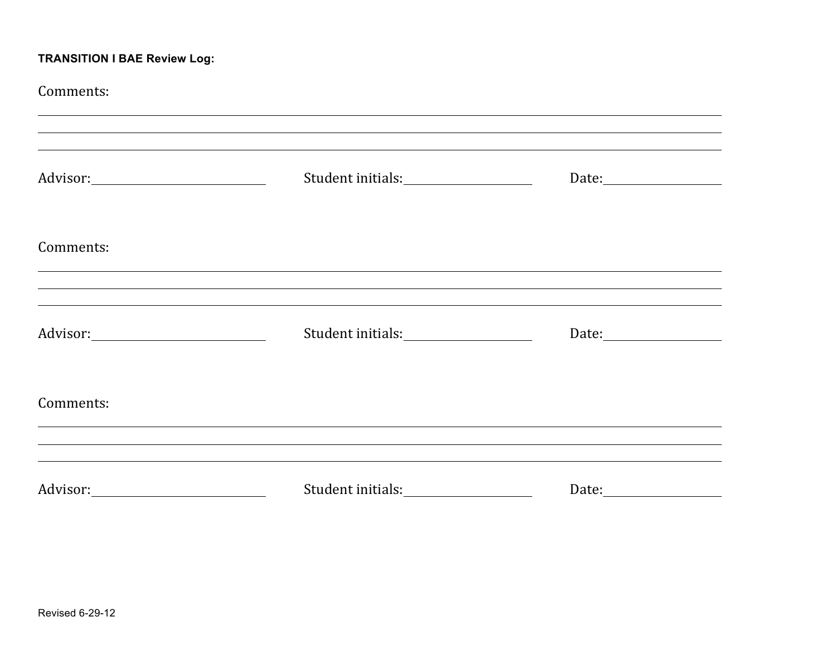# **TRANSITION I BAE Review Log:**

| Comments: | ,我们也不会有什么。""我们的人,我们也不会有什么?""我们的人,我们也不会有什么?""我们的人,我们也不会有什么?""我们的人,我们也不会有什么?""我们的人 |  |
|-----------|----------------------------------------------------------------------------------|--|
|           | ,我们也不会有什么。""我们的人,我们也不会有什么?""我们的人,我们也不会有什么?""我们的人,我们也不会有什么?""我们的人,我们也不会有什么?""我们的人 |  |
| Comments: | ,我们也不能在这里的时候,我们也不能在这里的时候,我们也不能会在这里的时候,我们也不能会在这里的时候,我们也不能会在这里的时候,我们也不能会在这里的时候,我们也 |  |
|           |                                                                                  |  |
| Comments: | ,我们也不能在这里的时候,我们也不能在这里的时候,我们也不能会不能会不能会不能会不能会不能会不能会不能会不能会不能会。""我们的是,我们也不能会不能会不能会不能 |  |
|           |                                                                                  |  |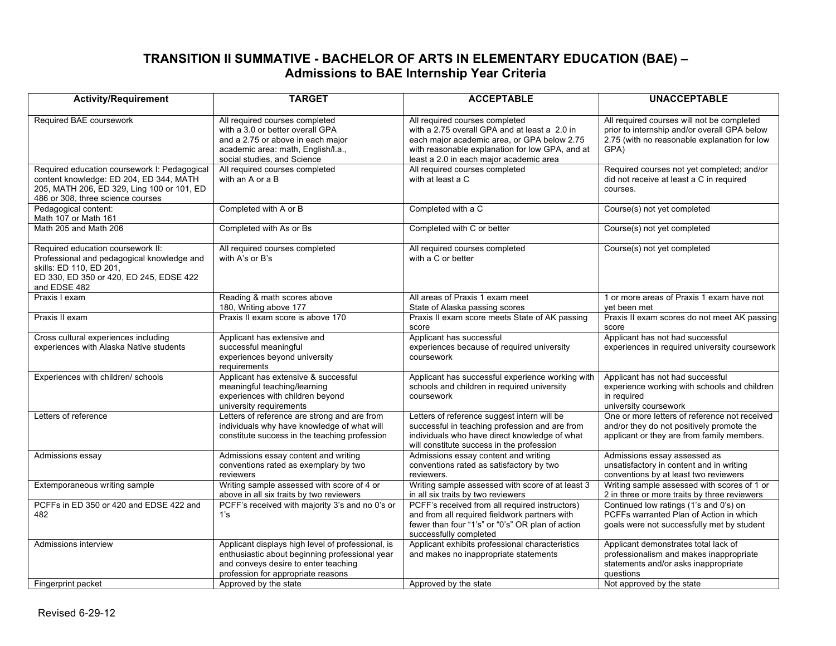# **TRANSITION II SUMMATIVE - BACHELOR OF ARTS IN ELEMENTARY EDUCATION (BAE) – Admissions to BAE Internship Year Criteria**

| <b>Activity/Requirement</b>                                                                                                                                                | <b>TARGET</b>                                                                                                                                                                     | <b>ACCEPTABLE</b>                                                                                                                                                                                                            | <b>UNACCEPTABLE</b>                                                                                                                                |  |
|----------------------------------------------------------------------------------------------------------------------------------------------------------------------------|-----------------------------------------------------------------------------------------------------------------------------------------------------------------------------------|------------------------------------------------------------------------------------------------------------------------------------------------------------------------------------------------------------------------------|----------------------------------------------------------------------------------------------------------------------------------------------------|--|
| Required BAE coursework                                                                                                                                                    | All required courses completed<br>with a 3.0 or better overall GPA<br>and a 2.75 or above in each major<br>academic area: math, English/I.a.,<br>social studies, and Science      | All required courses completed<br>with a 2.75 overall GPA and at least a 2.0 in<br>each major academic area, or GPA below 2.75<br>with reasonable explanation for low GPA, and at<br>least a 2.0 in each major academic area | All required courses will not be completed<br>prior to internship and/or overall GPA below<br>2.75 (with no reasonable explanation for low<br>GPA) |  |
| Required education coursework I: Pedagogical<br>content knowledge: ED 204, ED 344, MATH<br>205, MATH 206, ED 329, Ling 100 or 101, ED<br>486 or 308, three science courses | All required courses completed<br>with an A or a B                                                                                                                                | All required courses completed<br>with at least a C                                                                                                                                                                          | Required courses not yet completed; and/or<br>did not receive at least a C in required<br>courses.                                                 |  |
| Pedagogical content:<br>Math 107 or Math 161                                                                                                                               | Completed with A or B                                                                                                                                                             | Completed with a C                                                                                                                                                                                                           | Course(s) not yet completed                                                                                                                        |  |
| Math 205 and Math 206                                                                                                                                                      | Completed with As or Bs                                                                                                                                                           | Completed with C or better                                                                                                                                                                                                   | Course(s) not yet completed                                                                                                                        |  |
| Required education coursework II:<br>Professional and pedagogical knowledge and<br>skills: ED 110, ED 201,<br>ED 330, ED 350 or 420, ED 245, EDSE 422<br>and EDSE 482      | All required courses completed<br>with A's or B's                                                                                                                                 | All required courses completed<br>with a C or better                                                                                                                                                                         | Course(s) not yet completed                                                                                                                        |  |
| Praxis I exam                                                                                                                                                              | Reading & math scores above<br>180, Writing above 177                                                                                                                             | All areas of Praxis 1 exam meet<br>State of Alaska passing scores                                                                                                                                                            | 1 or more areas of Praxis 1 exam have not<br>vet been met                                                                                          |  |
| Praxis II exam                                                                                                                                                             | Praxis II exam score is above 170                                                                                                                                                 | Praxis II exam score meets State of AK passing<br>score                                                                                                                                                                      | Praxis II exam scores do not meet AK passing<br>score                                                                                              |  |
| Cross cultural experiences including<br>experiences with Alaska Native students                                                                                            | Applicant has extensive and<br>successful meaningful<br>experiences beyond university<br>requirements                                                                             | Applicant has successful<br>experiences because of required university<br>coursework                                                                                                                                         | Applicant has not had successful<br>experiences in required university coursework                                                                  |  |
| Experiences with children/ schools                                                                                                                                         | Applicant has extensive & successful<br>meaningful teaching/learning<br>experiences with children beyond<br>university requirements                                               | Applicant has successful experience working with<br>schools and children in required university<br>coursework                                                                                                                | Applicant has not had successful<br>experience working with schools and children<br>in required<br>university coursework                           |  |
| Letters of reference                                                                                                                                                       | Letters of reference are strong and are from<br>individuals why have knowledge of what will<br>constitute success in the teaching profession                                      | Letters of reference suggest intern will be<br>successful in teaching profession and are from<br>individuals who have direct knowledge of what<br>will constitute success in the profession                                  | One or more letters of reference not received<br>and/or they do not positively promote the<br>applicant or they are from family members.           |  |
| Admissions essay                                                                                                                                                           | Admissions essay content and writing<br>conventions rated as exemplary by two<br>reviewers                                                                                        | Admissions essay content and writing<br>conventions rated as satisfactory by two<br>reviewers.                                                                                                                               | Admissions essay assessed as<br>unsatisfactory in content and in writing<br>conventions by at least two reviewers                                  |  |
| Extemporaneous writing sample                                                                                                                                              | Writing sample assessed with score of 4 or<br>above in all six traits by two reviewers                                                                                            | Writing sample assessed with score of at least 3<br>in all six traits by two reviewers                                                                                                                                       | Writing sample assessed with scores of 1 or<br>2 in three or more traits by three reviewers                                                        |  |
| PCFFs in ED 350 or 420 and EDSE 422 and<br>482                                                                                                                             | PCFF's received with majority 3's and no 0's or<br>1's                                                                                                                            | PCFF's received from all required instructors)<br>and from all required fieldwork partners with<br>fewer than four "1's" or "0's" OR plan of action<br>successfully completed                                                | Continued low ratings (1's and 0's) on<br>PCFFs warranted Plan of Action in which<br>goals were not successfully met by student                    |  |
| Admissions interview                                                                                                                                                       | Applicant displays high level of professional, is<br>enthusiastic about beginning professional year<br>and conveys desire to enter teaching<br>profession for appropriate reasons | Applicant exhibits professional characteristics<br>and makes no inappropriate statements                                                                                                                                     | Applicant demonstrates total lack of<br>professionalism and makes inappropriate<br>statements and/or asks inappropriate<br>questions               |  |
| Fingerprint packet                                                                                                                                                         | Approved by the state                                                                                                                                                             | Approved by the state                                                                                                                                                                                                        | Not approved by the state                                                                                                                          |  |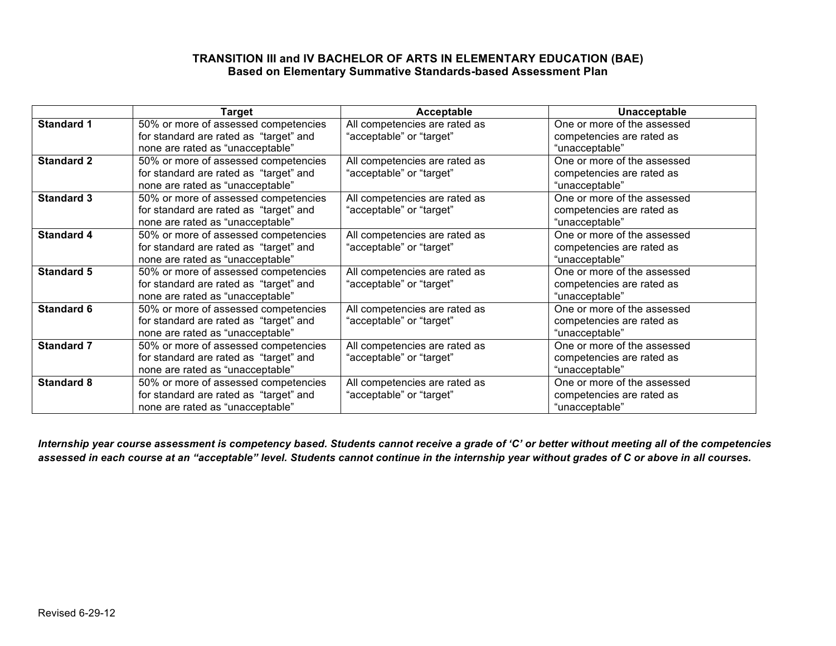### **TRANSITION III and IV BACHELOR OF ARTS IN ELEMENTARY EDUCATION (BAE) Based on Elementary Summative Standards-based Assessment Plan**

|                   | Target                                 | Acceptable                    | Unacceptable                |
|-------------------|----------------------------------------|-------------------------------|-----------------------------|
| <b>Standard 1</b> | 50% or more of assessed competencies   | All competencies are rated as | One or more of the assessed |
|                   | for standard are rated as "target" and | "acceptable" or "target"      | competencies are rated as   |
|                   | none are rated as "unacceptable"       |                               | "unacceptable"              |
| <b>Standard 2</b> | 50% or more of assessed competencies   | All competencies are rated as | One or more of the assessed |
|                   | for standard are rated as "target" and | "acceptable" or "target"      | competencies are rated as   |
|                   | none are rated as "unacceptable"       |                               | "unacceptable"              |
| <b>Standard 3</b> | 50% or more of assessed competencies   | All competencies are rated as | One or more of the assessed |
|                   | for standard are rated as "target" and | "acceptable" or "target"      | competencies are rated as   |
|                   | none are rated as "unacceptable"       |                               | "unacceptable"              |
| <b>Standard 4</b> | 50% or more of assessed competencies   | All competencies are rated as | One or more of the assessed |
|                   | for standard are rated as "target" and | "acceptable" or "target"      | competencies are rated as   |
|                   | none are rated as "unacceptable"       |                               | "unacceptable"              |
| <b>Standard 5</b> | 50% or more of assessed competencies   | All competencies are rated as | One or more of the assessed |
|                   | for standard are rated as "target" and | "acceptable" or "target"      | competencies are rated as   |
|                   | none are rated as "unacceptable"       |                               | "unacceptable"              |
| <b>Standard 6</b> | 50% or more of assessed competencies   | All competencies are rated as | One or more of the assessed |
|                   | for standard are rated as "target" and | "acceptable" or "target"      | competencies are rated as   |
|                   | none are rated as "unacceptable"       |                               | "unacceptable"              |
| <b>Standard 7</b> | 50% or more of assessed competencies   | All competencies are rated as | One or more of the assessed |
|                   | for standard are rated as "target" and | "acceptable" or "target"      | competencies are rated as   |
|                   | none are rated as "unacceptable"       |                               | "unacceptable"              |
| <b>Standard 8</b> | 50% or more of assessed competencies   | All competencies are rated as | One or more of the assessed |
|                   | for standard are rated as "target" and | "acceptable" or "target"      | competencies are rated as   |
|                   | none are rated as "unacceptable"       |                               | "unacceptable"              |

*Internship year course assessment is competency based. Students cannot receive a grade of 'C' or better without meeting all of the competencies assessed in each course at an "acceptable" level. Students cannot continue in the internship year without grades of C or above in all courses.*